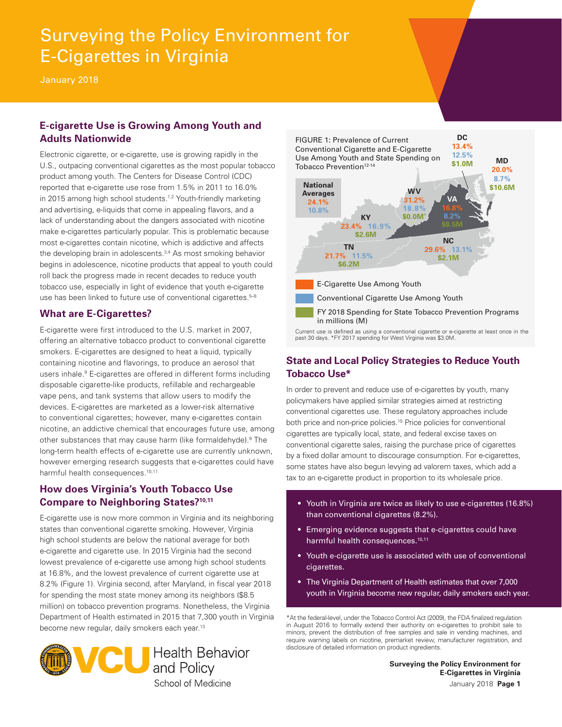# Surveying the Policy Environment for E-Cigarettes in Virginia

January 2018

### **E-cigarette Use is Growing Among Youth and Adults Nationwide**

Electronic cigarette, or e-cigarette, use is growing rapidly in the U.S., outpacing conventional cigarettes as the most popular tobacco product among youth. The Centers for Disease Control (CDC) reported that e-cigarette use rose from 1.5% in 2011 to 16.0% in 2015 among high school students.<sup>1,2</sup> Youth-friendly marketing and advertising, e-liquids that come in appealing flavors, and a lack of understanding about the dangers associated with nicotine make e-cigarettes particularly popular. This is problematic because most e-cigarettes contain nicotine, which is addictive and affects the developing brain in adolescents.<sup>3,4</sup> As most smoking behavior begins in adolescence, nicotine products that appeal to youth could roll back the progress made in recent decades to reduce youth tobacco use, especially in light of evidence that youth e-cigarette use has been linked to future use of conventional cigarettes.<sup>5-8</sup>

#### **What are E-Cigarettes?**

E-cigarette were first introduced to the U.S. market in 2007, offering an alternative tobacco product to conventional cigarette smokers. E-cigarettes are designed to heat a liquid, typically containing nicotine and flavorings, to produce an aerosol that users inhale.<sup>9</sup> E-cigarettes are offered in different forms including disposable cigarette-like products, refillable and rechargeable vape pens, and tank systems that allow users to modify the devices. E-cigarettes are marketed as a lower-risk alternative to conventional cigarettes; however, many e-cigarettes contain nicotine, an addictive chemical that encourages future use, among other substances that may cause harm (like formaldehyde).<sup>9</sup> The long-term health effects of e-cigarette use are currently unknown, however emerging research suggests that e-cigarettes could have harmful health consequences.<sup>10,11</sup>

#### **How does Virginia's Youth Tobacco Use Compare to Neighboring States?10,11**

E-cigarette use is now more common in Virginia and its neighboring states than conventional cigarette smoking. However, Virginia high school students are below the national average for both e-cigarette and cigarette use. In 2015 Virginia had the second lowest prevalence of e-cigarette use among high school students at 16.8%, and the lowest prevalence of current cigarette use at 8.2% (Figure 1). Virginia second, after Maryland, in fiscal year 2018 for spending the most state money among its neighbors (\$8.5 million) on tobacco prevention programs. Nonetheless, the Virginia Department of Health estimated in 2015 that 7,300 youth in Virginia become new regular, daily smokers each year.<sup>13</sup>





Current use is defined as using a conventional cigarette or e-cigarette at least once in the past 30 days. \*FY 2017 spending for West Virginia was \$3.0M.

#### **State and Local Policy Strategies to Reduce Youth Tobacco Use\***

In order to prevent and reduce use of e-cigarettes by youth, many policymakers have applied similar strategies aimed at restricting conventional cigarettes use. These regulatory approaches include both price and non-price policies.<sup>15</sup> Price policies for conventional cigarettes are typically local, state, and federal excise taxes on conventional cigarette sales, raising the purchase price of cigarettes by a fixed dollar amount to discourage consumption. For e-cigarettes, some states have also begun levying ad valorem taxes, which add a tax to an e-cigarette product in proportion to its wholesale price.

- Youth in Virginia are twice as likely to use e-cigarettes (16.8%) than conventional cigarettes (8.2%).
- Emerging evidence suggests that e-cigarettes could have harmful health consequences.10,11
- Youth e-cigarette use is associated with use of conventional cigarettes.
- The Virginia Department of Health estimates that over 7,000 youth in Virginia become new regular, daily smokers each year.

\*At the federal-level, under the Tobacco Control Act (2009), the FDA finalized regulation in August 2016 to formally extend their authority on e-cigarettes to prohibit sale to minors, prevent the distribution of free samples and sale in vending machines, and require warning labels on nicotine, premarket review, manufacturer registration, and disclosure of detailed information on product ingredients.

> **Surveying the Policy Environment for E-Cigarettes in Virginia** January 2018 **Page 1**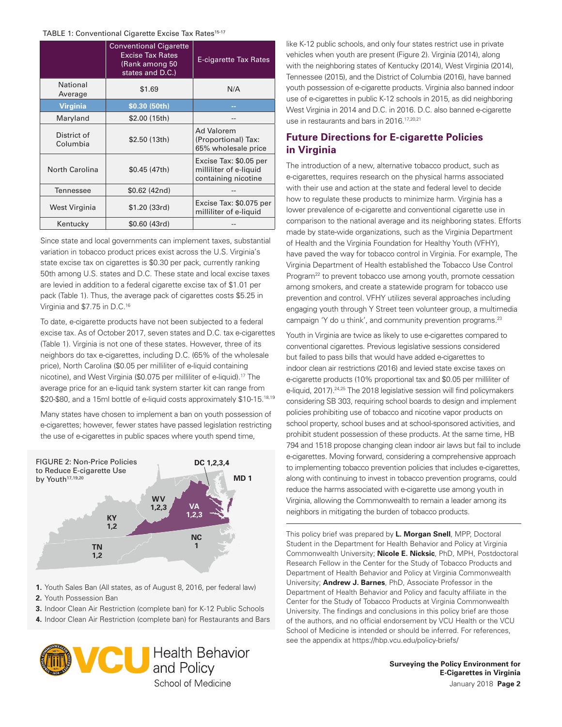#### TABLE 1: Conventional Cigarette Excise Tax Rates<sup>15-17</sup>

|                         | <b>Conventional Cigarette</b><br><b>Excise Tax Rates</b><br>(Rank among 50<br>states and D.C.) | E-cigarette Tax Rates                                                   |
|-------------------------|------------------------------------------------------------------------------------------------|-------------------------------------------------------------------------|
| National<br>Average     | \$1.69                                                                                         | N/A                                                                     |
| Virginia                | \$0.30 (50th)                                                                                  |                                                                         |
| Maryland                | \$2.00 (15th)                                                                                  |                                                                         |
| District of<br>Columbia | \$2.50 (13th)                                                                                  | <b>Ad Valorem</b><br>(Proportional) Tax:<br>65% wholesale price         |
| North Carolina          | \$0.45 (47th)                                                                                  | Excise Tax: \$0.05 per<br>milliliter of e-liquid<br>containing nicotine |
| <b>Tennessee</b>        | \$0.62 (42nd)                                                                                  |                                                                         |
| West Virginia           | \$1.20 (33rd)                                                                                  | Excise Tax: \$0.075 per<br>milliliter of e-liquid                       |
| Kentucky                | \$0.60 (43rd)                                                                                  |                                                                         |

Since state and local governments can implement taxes, substantial variation in tobacco product prices exist across the U.S. Virginia's state excise tax on cigarettes is \$0.30 per pack, currently ranking 50th among U.S. states and D.C. These state and local excise taxes are levied in addition to a federal cigarette excise tax of \$1.01 per pack (Table 1). Thus, the average pack of cigarettes costs \$5.25 in Virginia and \$7.75 in D.C.16

To date, e-cigarette products have not been subjected to a federal excise tax. As of October 2017, seven states and D.C. tax e-cigarettes (Table 1). Virginia is not one of these states. However, three of its neighbors do tax e-cigarettes, including D.C. (65% of the wholesale price), North Carolina (\$0.05 per milliliter of e-liquid containing nicotine), and West Virginia (\$0.075 per milliliter of e-liquid).17 The average price for an e-liquid tank system starter kit can range from \$20-\$80, and a 15ml bottle of e-liquid costs approximately \$10-15.18,19

Many states have chosen to implement a ban on youth possession of e-cigarettes; however, fewer states have passed legislation restricting the use of e-cigarettes in public spaces where youth spend time,



- **1.** Youth Sales Ban (All states, as of August 8, 2016, per federal law)
- **2.** Youth Possession Ban
- **3.** Indoor Clean Air Restriction (complete ban) for K-12 Public Schools
- **4.** Indoor Clean Air Restriction (complete ban) for Restaurants and Bars



like K-12 public schools, and only four states restrict use in private vehicles when youth are present (Figure 2). Virginia (2014), along with the neighboring states of Kentucky (2014), West Virginia (2014), Tennessee (2015), and the District of Columbia (2016), have banned youth possession of e-cigarette products. Virginia also banned indoor use of e-cigarettes in public K-12 schools in 2015, as did neighboring West Virginia in 2014 and D.C. in 2016. D.C. also banned e-cigarette use in restaurants and bars in 2016.<sup>17,20,21</sup>

#### **Future Directions for E-cigarette Policies in Virginia**

The introduction of a new, alternative tobacco product, such as e-cigarettes, requires research on the physical harms associated with their use and action at the state and federal level to decide how to regulate these products to minimize harm. Virginia has a lower prevalence of e-cigarette and conventional cigarette use in comparison to the national average and its neighboring states. Efforts made by state-wide organizations, such as the Virginia Department of Health and the Virginia Foundation for Healthy Youth (VFHY), have paved the way for tobacco control in Virginia. For example, The Virginia Department of Health established the Tobacco Use Control Program<sup>22</sup> to prevent tobacco use among youth, promote cessation among smokers, and create a statewide program for tobacco use prevention and control. VFHY utilizes several approaches including engaging youth through Y Street teen volunteer group, a multimedia campaign 'Y do u think', and community prevention programs.<sup>23</sup>

Youth in Virginia are twice as likely to use e-cigarettes compared to conventional cigarettes. Previous legislative sessions considered but failed to pass bills that would have added e-cigarettes to indoor clean air restrictions (2016) and levied state excise taxes on e-cigarette products (10% proportional tax and \$0.05 per milliliter of e-liquid, 2017).<sup>24,25</sup> The 2018 legislative session will find policymakers considering SB 303, requiring school boards to design and implement policies prohibiting use of tobacco and nicotine vapor products on school property, school buses and at school-sponsored activities, and prohibit student possession of these products. At the same time, HB 794 and 1518 propose changing clean indoor air laws but fail to include e-cigarettes. Moving forward, considering a comprehensive approach to implementing tobacco prevention policies that includes e-cigarettes, along with continuing to invest in tobacco prevention programs, could reduce the harms associated with e-cigarette use among youth in Virginia, allowing the Commonwealth to remain a leader among its neighbors in mitigating the burden of tobacco products.

This policy brief was prepared by **L. Morgan Snell**, MPP, Doctoral Student in the Department for Health Behavior and Policy at Virginia Commonwealth University; **Nicole E. Nicksic**, PhD, MPH, Postdoctoral Research Fellow in the Center for the Study of Tobacco Products and Department of Health Behavior and Policy at Virginia Commonwealth University; **Andrew J. Barnes**, PhD, Associate Professor in the Department of Health Behavior and Policy and faculty affiliate in the Center for the Study of Tobacco Products at Virginia Commonwealth University. The findings and conclusions in this policy brief are those of the authors, and no official endorsement by VCU Health or the VCU School of Medicine is intended or should be inferred. For references, see the appendix at https://hbp.vcu.edu/policy-briefs/

> **Surveying the Policy Environment for E-Cigarettes in Virginia** January 2018 **Page 2**